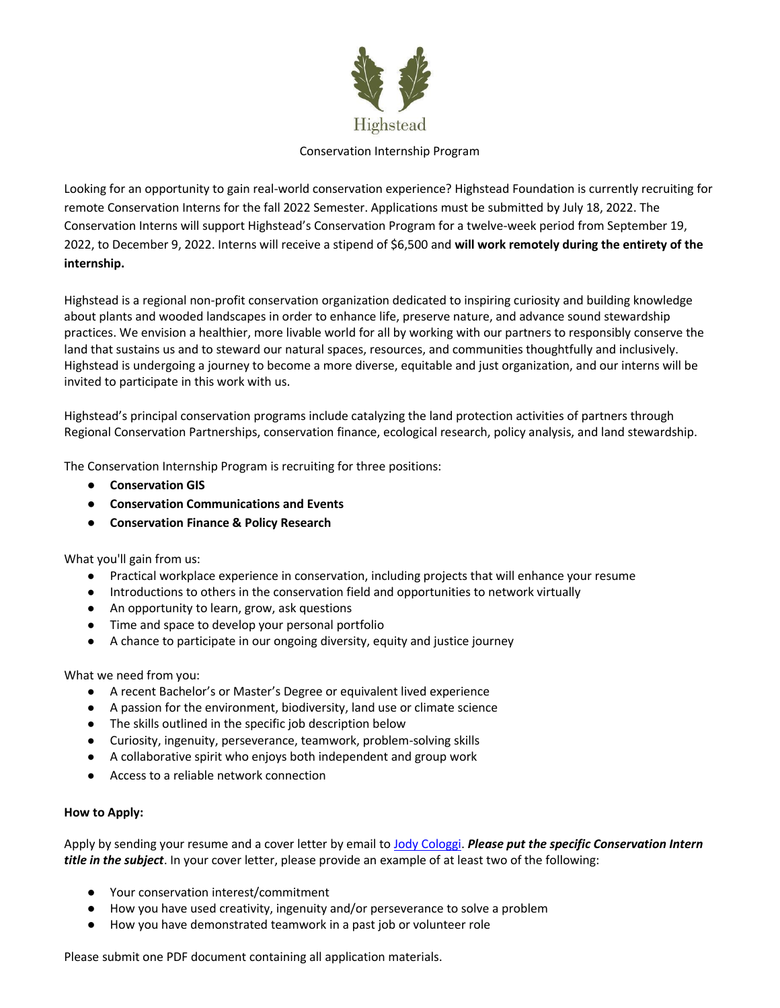

## Conservation Internship Program

Looking for an opportunity to gain real-world conservation experience? Highstead Foundation is currently recruiting for remote Conservation Interns for the fall 2022 Semester. Applications must be submitted by July 18, 2022. The Conservation Interns will support Highstead's Conservation Program for a twelve-week period from September 19, 2022, to December 9, 2022. Interns will receive a stipend of \$6,500 and **will work remotely during the entirety of the internship.**

Highstead is a regional non-profit conservation organization dedicated to inspiring curiosity and building knowledge about plants and wooded landscapes in order to enhance life, preserve nature, and advance sound stewardship practices. We envision a healthier, more livable world for all by working with our partners to responsibly conserve the land that sustains us and to steward our natural spaces, resources, and communities thoughtfully and inclusively. Highstead is undergoing a journey to become a more diverse, equitable and just organization, and our interns will be invited to participate in this work with us.

Highstead's principal conservation programs include catalyzing the land protection activities of partners through Regional Conservation Partnerships, conservation finance, ecological research, policy analysis, and land stewardship.

The Conservation Internship Program is recruiting for three positions:

- **Conservation GIS**
- **Conservation Communications and Events**
- **Conservation Finance & Policy Research**

What you'll gain from us:

- Practical workplace experience in conservation, including projects that will enhance your resume
- Introductions to others in the conservation field and opportunities to network virtually
- An opportunity to learn, grow, ask questions
- Time and space to develop your personal portfolio
- A chance to participate in our ongoing diversity, equity and justice journey

What we need from you:

- A recent Bachelor's or Master's Degree or equivalent lived experience
- A passion for the environment, biodiversity, land use or climate science
- The skills outlined in the specific job description below
- Curiosity, ingenuity, perseverance, teamwork, problem-solving skills
- A collaborative spirit who enjoys both independent and group work
- Access to a reliable network connection

# **How to Apply:**

Apply by sending your resume and a cover letter by email to **Jody Cologgi. Please put the specific Conservation Intern** *title in the subject*. In your cover letter, please provide an example of at least two of the following:

- Your conservation interest/commitment
- How you have used creativity, ingenuity and/or perseverance to solve a problem
- How you have demonstrated teamwork in a past job or volunteer role

Please submit one PDF document containing all application materials.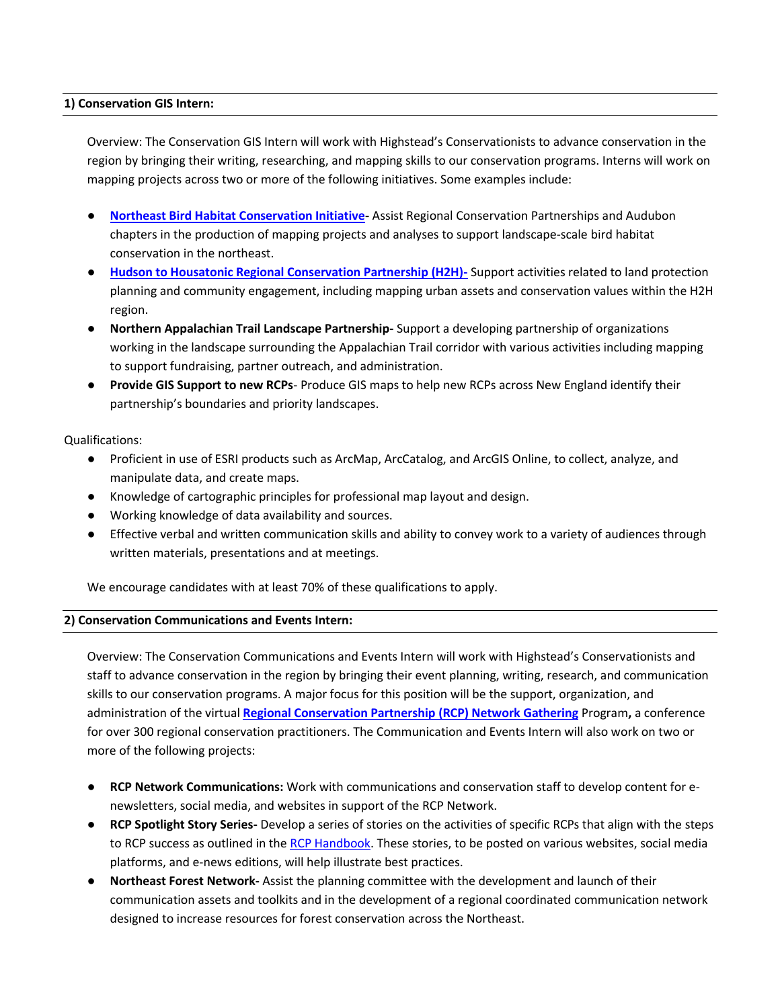### **1) Conservation GIS Intern:**

Overview: The Conservation GIS Intern will work with Highstead's Conservationists to advance conservation in the region by bringing their writing, researching, and mapping skills to our conservation programs. Interns will work on mapping projects across two or more of the following initiatives. Some examples include:

- **[Northeast Bird Habitat Conservation Initiative-](about:blank)** Assist Regional Conservation Partnerships and Audubon chapters in the production of mapping projects and analyses to support landscape-scale bird habitat conservation in the northeast.
- **[Hudson to Housatonic Regional Conservation Partnership \(H2H\)-](about:blank)** Support activities related to land protection planning and community engagement, including mapping urban assets and conservation values within the H2H region.
- **Northern Appalachian Trail Landscape Partnership-** Support a developing partnership of organizations working in the landscape surrounding the Appalachian Trail corridor with various activities including mapping to support fundraising, partner outreach, and administration.
- **Provide GIS Support to new RCPs** Produce GIS maps to help new RCPs across New England identify their partnership's boundaries and priority landscapes.

#### Qualifications:

- Proficient in use of ESRI products such as ArcMap, ArcCatalog, and ArcGIS Online, to collect, analyze, and manipulate data, and create maps.
- Knowledge of cartographic principles for professional map layout and design.
- Working knowledge of data availability and sources.
- Effective verbal and written communication skills and ability to convey work to a variety of audiences through written materials, presentations and at meetings.

We encourage candidates with at least 70% of these qualifications to apply.

#### **2) Conservation Communications and Events Intern:**

Overview: The Conservation Communications and Events Intern will work with Highstead's Conservationists and staff to advance conservation in the region by bringing their event planning, writing, research, and communication skills to our conservation programs. A major focus for this position will be the support, organization, and administration of the virtual **[Regional Conservation Partnership \(RCP\) Network Gathering](about:blank)** Program**,** a conference for over 300 regional conservation practitioners. The Communication and Events Intern will also work on two or more of the following projects:

- **[RCP Network Communications:](about:blank)** Work with communications and conservation staff to develop content for enewsletters, social media, and websites in support of the RCP Network.
- **RCP Spotlight Story Series-** Develop a series of stories on the activities of specific RCPs that align with the steps to RCP success as outlined in th[e RCP Handbook.](about:blank) These stories, to be posted on various websites, social media platforms, and e-news editions, will help illustrate best practices.
- **Northeast Forest Network-** Assist the planning committee with the development and launch of their communication assets and toolkits and in the development of a regional coordinated communication network designed to increase resources for forest conservation across the Northeast.